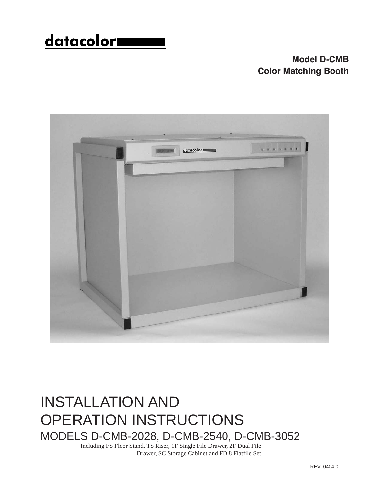# <u>datacolor</u>

## **Model D-CMB Color Matching Booth**



# INSTALLATION AND OPERATION INSTRUCTIONS MODELS D-CMB-2028, D-CMB-2540, D-CMB-3052

Including FS Floor Stand, TS Riser, 1F Single File Drawer, 2F Dual File Drawer, SC Storage Cabinet and FD 8 Flatfile Set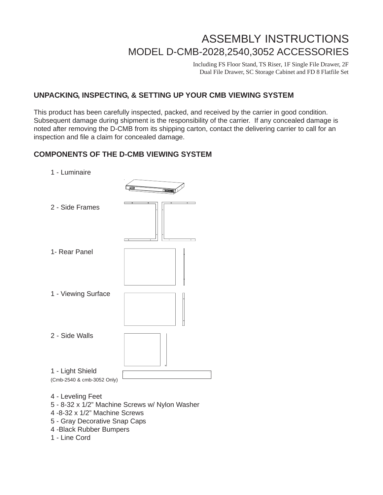# ASSEMBLY INSTRUCTIONS MODEL D-CMB-2028,2540,3052 ACCESSORIES

Including FS Floor Stand, TS Riser, 1F Single File Drawer, 2F Dual File Drawer, SC Storage Cabinet and FD 8 Flatfile Set

#### **UNPACKING, INSPECTING, & SETTING UP YOUR CMB VIEWING SYSTEM**

This product has been carefully inspected, packed, and received by the carrier in good condition. Subsequent damage during shipment is the responsibility of the carrier. If any concealed damage is noted after removing the D-CMB from its shipping carton, contact the delivering carrier to call for an inspection and file a claim for concealed damage.

#### **COMPONENTS OF THE D-CMB VIEWING SYSTEM**

- 1 Luminaire
- 2 Side Frames 1- Rear Panel 1 - Viewing Surface 2 - Side Walls 1 - Light Shield (Cmb-2540 & cmb-3052 Only)
- 4 Leveling Feet
- 5 8-32 x 1/2" Machine Screws w/ Nylon Washer
- 4 -8-32 x 1/2" Machine Screws
- 5 Gray Decorative Snap Caps
- 4 -Black Rubber Bumpers
- 1 Line Cord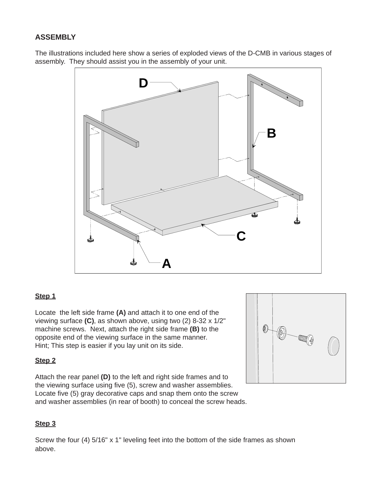#### **ASSEMBLY**

The illustrations included here show a series of exploded views of the D-CMB in various stages of assembly. They should assist you in the assembly of your unit.



#### **Step 1**

Locate the left side frame **(A)** and attach it to one end of the viewing surface **(C)**, as shown above, using two (2) 8-32 x 1/2" machine screws. Next, attach the right side frame **(B)** to the opposite end of the viewing surface in the same manner. Hint; This step is easier if you lay unit on its side.

#### **Step 2**

Attach the rear panel **(D)** to the left and right side frames and to the viewing surface using five (5), screw and washer assemblies. Locate five (5) gray decorative caps and snap them onto the screw and washer assemblies (in rear of booth) to conceal the screw heads.



#### **Step 3**

Screw the four (4) 5/16" x 1" leveling feet into the bottom of the side frames as shown above.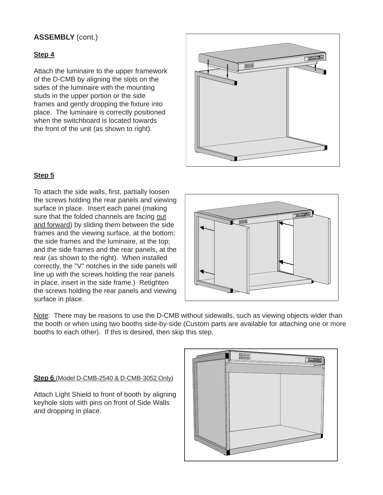#### **ASSEMBLY** (cont.)

#### **Step 4**

Attach the luminaire to the upper framework of the D-CMB by aligning the slots on the sides of the luminaire with the mounting studs in the upper portion or the side frames and gently dropping the fixture into place. The luminaire is correctly positioned when the switchboard is located towards the front of the unit (as shown to right).



#### **Step 5**

To attach the side walls, first, partially loosen the screws holding the rear panels and viewing surface in place. Insert each panel (making sure that the folded channels are facing out and forward) by sliding them between the side frames and the viewing surface, at the bottom; the side frames and the luminaire, at the top; and the side frames and the rear panels, at the rear (as shown to the right). When installed correctly, the "V" notches in the side panels will line up with the screws holding the rear panels in place. insert in the side frame.) Retighten the screws holding the rear panels and viewing surface in place.



Note: There may be reasons to use the D-CMB without sidewalls, such as viewing objects wider than the booth or when using two booths side-by-side (Custom parts are available for attaching one or more booths to each other). If this is desired, then skip this step.

#### **Step 6** (Model D-CMB-2540 & D-CMB-3052 Only)

Attach Light Shield to front of booth by aligning keyhole slots with pins on front of Side Walls and dropping in place.

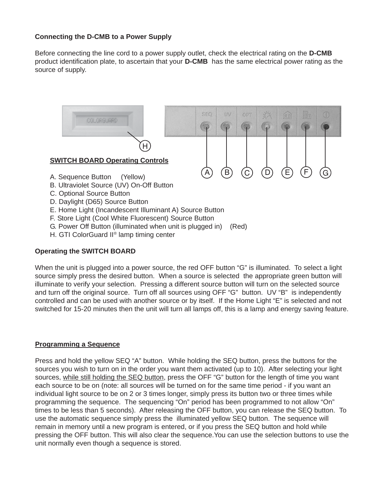#### **Connecting the D-CMB to a Power Supply**

Before connecting the line cord to a power supply outlet, check the electrical rating on the **D-CMB** product identification plate, to ascertain that your **D-CMB** has the same electrical power rating as the source of supply.



#### **Operating the SWITCH BOARD**

When the unit is plugged into a power source, the red OFF button "G" is illuminated. To select a light source simply press the desired button. When a source is selected the appropriate green button will illuminate to verify your selection. Pressing a different source button will turn on the selected source and turn off the original source. Turn off all sources using OFF "G" button. UV "B" is independently controlled and can be used with another source or by itself. If the Home Light "E" is selected and not switched for 15-20 minutes then the unit will turn all lamps off, this is a lamp and energy saving feature.

#### **Programming a Sequence**

Press and hold the yellow SEQ "A" button. While holding the SEQ button, press the buttons for the sources you wish to turn on in the order you want them activated (up to 10). After selecting your light sources, while still holding the SEQ button, press the OFF "G" button for the length of time you want each source to be on (note: all sources will be turned on for the same time period - if you want an individual light source to be on 2 or 3 times longer, simply press its button two or three times while programming the sequence. The sequencing "On" period has been programmed to not allow "On" times to be less than 5 seconds). After releasing the OFF button, you can release the SEQ button. To use the automatic sequence simply press the illuminated yellow SEQ button. The sequence will remain in memory until a new program is entered, or if you press the SEQ button and hold while pressing the OFF button. This will also clear the sequence.You can use the selection buttons to use the unit normally even though a sequence is stored.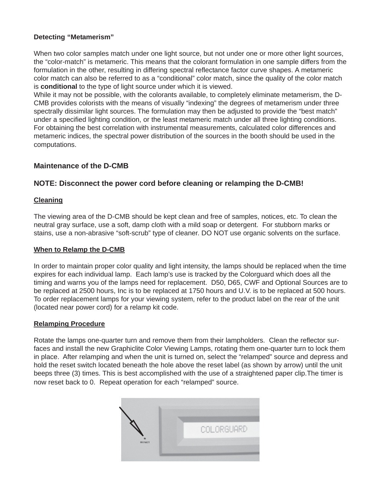#### **Detecting "Metamerism"**

When two color samples match under one light source, but not under one or more other light sources, the "color-match" is metameric. This means that the colorant formulation in one sample differs from the formulation in the other, resulting in differing spectral reflectance factor curve shapes. A metameric color match can also be referred to as a "conditional" color match, since the quality of the color match is **conditional** to the type of light source under which it is viewed.

While it may not be possible, with the colorants available, to completely eliminate metamerism, the D-CMB provides colorists with the means of visually "indexing" the degrees of metamerism under three spectrally dissimilar light sources. The formulation may then be adjusted to provide the "best match" under a specified lighting condition, or the least metameric match under all three lighting conditions. For obtaining the best correlation with instrumental measurements, calculated color differences and metameric indices, the spectral power distribution of the sources in the booth should be used in the computations.

#### **Maintenance of the D-CMB**

#### **NOTE: Disconnect the power cord before cleaning or relamping the D-CMB!**

#### **Cleaning**

The viewing area of the D-CMB should be kept clean and free of samples, notices, etc. To clean the neutral gray surface, use a soft, damp cloth with a mild soap or detergent. For stubborn marks or stains, use a non-abrasive "soft-scrub" type of cleaner. DO NOT use organic solvents on the surface.

#### **When to Relamp the D-CMB**

In order to maintain proper color quality and light intensity, the lamps should be replaced when the time expires for each individual lamp. Each lamp's use is tracked by the Colorguard which does all the timing and warns you of the lamps need for replacement. D50, D65, CWF and Optional Sources are to be replaced at 2500 hours, Inc is to be replaced at 1750 hours and U.V. is to be replaced at 500 hours. To order replacement lamps for your viewing system, refer to the product label on the rear of the unit (located near power cord) for a relamp kit code.

#### **Relamping Procedure**

Rotate the lamps one-quarter turn and remove them from their lampholders. Clean the reflector surfaces and install the new Graphiclite Color Viewing Lamps, rotating them one-quarter turn to lock them in place. After relamping and when the unit is turned on, select the "relamped" source and depress and hold the reset switch located beneath the hole above the reset label (as shown by arrow) until the unit beeps three (3) times. This is best accomplished with the use of a straightened paper clip.The timer is now reset back to 0. Repeat operation for each "relamped" source.

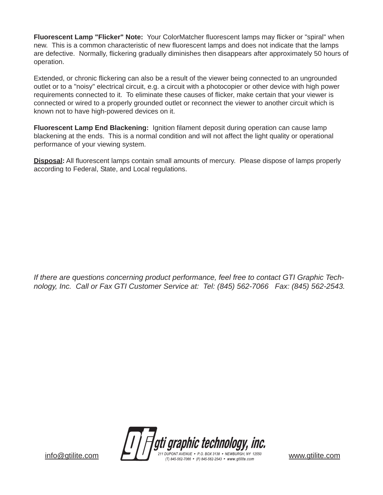**Fluorescent Lamp "Flicker" Note:** Your ColorMatcher fluorescent lamps may flicker or "spiral" when new. This is a common characteristic of new fluorescent lamps and does not indicate that the lamps are defective. Normally, flickering gradually diminishes then disappears after approximately 50 hours of operation.

Extended, or chronic flickering can also be a result of the viewer being connected to an ungrounded outlet or to a "noisy" electrical circuit, e.g. a circuit with a photocopier or other device with high power requirements connected to it. To eliminate these causes of flicker, make certain that your viewer is connected or wired to a properly grounded outlet or reconnect the viewer to another circuit which is known not to have high-powered devices on it.

**Fluorescent Lamp End Blackening:** Ignition filament deposit during operation can cause lamp blackening at the ends. This is a normal condition and will not affect the light quality or operational performance of your viewing system.

**Disposal:** All fluorescent lamps contain small amounts of mercury. Please dispose of lamps properly according to Federal, State, and Local regulations.

*If there are questions concerning product performance, feel free to contact GTI Graphic Technology, Inc. Call or Fax GTI Customer Service at: Tel: (845) 562-7066 Fax: (845) 562-2543*.

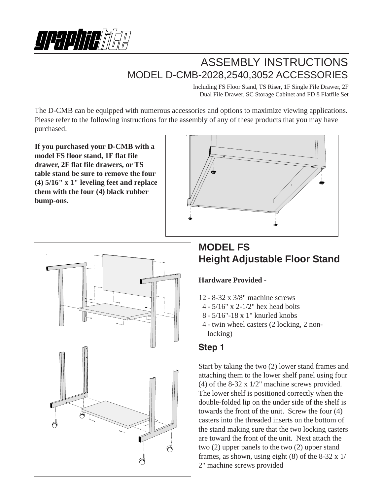

# ASSEMBLY INSTRUCTIONS MODEL D-CMB-2028,2540,3052 ACCESSORIES

Including FS Floor Stand, TS Riser, 1F Single File Drawer, 2F Dual File Drawer, SC Storage Cabinet and FD 8 Flatfile Set

The D-CMB can be equipped with numerous accessories and options to maximize viewing applications. Please refer to the following instructions for the assembly of any of these products that you may have purchased.

**If you purchased your D-CMB with a model FS floor stand, 1F flat file drawer, 2F flat file drawers, or TS table stand be sure to remove the four (4) 5/16" x 1" leveling feet and replace them with the four (4) black rubber bump-ons.**





# **MODEL FS Height Adjustable Floor Stand**

#### **Hardware Provided -**

- 12 8-32 x 3/8" machine screws
- 4 5/16" x 2-1/2" hex head bolts
- 8 5/16"-18 x 1" knurled knobs
- 4 twin wheel casters (2 locking, 2 nonlocking)

### **Step 1**

Start by taking the two (2) lower stand frames and attaching them to the lower shelf panel using four (4) of the 8-32 x 1/2" machine screws provided. The lower shelf is positioned correctly when the double-folded lip on the under side of the shelf is towards the front of the unit. Screw the four (4) casters into the threaded inserts on the bottom of the stand making sure that the two locking casters are toward the front of the unit. Next attach the two (2) upper panels to the two (2) upper stand frames, as shown, using eight  $(8)$  of the 8-32 x 1/ 2" machine screws provided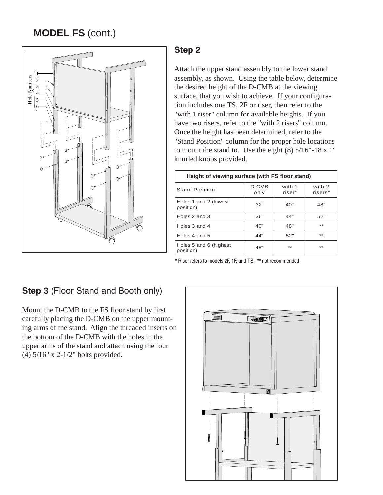# **MODEL FS** (cont.)



### **Step 2**

Attach the upper stand assembly to the lower stand assembly, as shown. Using the table below, determine the desired height of the D-CMB at the viewing surface, that you wish to achieve. If your configuration includes one TS, 2F or riser, then refer to the "with 1 riser" column for available heights. If you have two risers, refer to the "with 2 risers" column. Once the height has been determined, refer to the "Stand Position" column for the proper hole locations to mount the stand to. Use the eight  $(8)$  5/16"-18 x 1" knurled knobs provided.

| Height of viewing surface (with FS floor stand) |               |                  |                   |
|-------------------------------------------------|---------------|------------------|-------------------|
| <b>Stand Position</b>                           | D-CMB<br>only | with 1<br>riser* | with 2<br>risers* |
| Holes 1 and 2 (lowest<br>position)              | 32"           | 40"              | 48"               |
| Holes 2 and 3                                   | 36"           | 44"              | 52"               |
| Holes 3 and 4                                   | 40"           | 48"              | **                |
| Holes 4 and 5                                   | 44"           | 52"              | **                |
| Holes 5 and 6 (highest<br>position)             | 48"           | **               | **                |

\* Riser refers to models 2F, 1F, and TS. \*\* not recommended

## **Step 3 (Floor Stand and Booth only)**

Mount the D-CMB to the FS floor stand by first carefully placing the D-CMB on the upper mounting arms of the stand. Align the threaded inserts on the bottom of the D-CMB with the holes in the upper arms of the stand and attach using the four (4) 5/16" x 2-1/2" bolts provided.

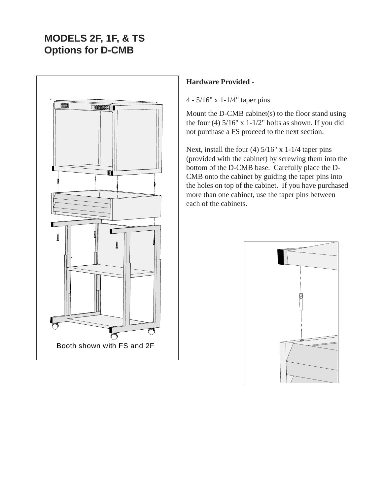# **MODELS 2F, 1F, & TS Options for D-CMB**



#### **Hardware Provided -**

4 - 5/16" x 1-1/4" taper pins

Mount the D-CMB cabinet(s) to the floor stand using the four (4)  $5/16$ " x  $1-1/2$ " bolts as shown. If you did not purchase a FS proceed to the next section.

Next, install the four (4) 5/16" x 1-1/4 taper pins (provided with the cabinet) by screwing them into the bottom of the D-CMB base. Carefully place the D-CMB onto the cabinet by guiding the taper pins into the holes on top of the cabinet. If you have purchased more than one cabinet, use the taper pins between each of the cabinets.